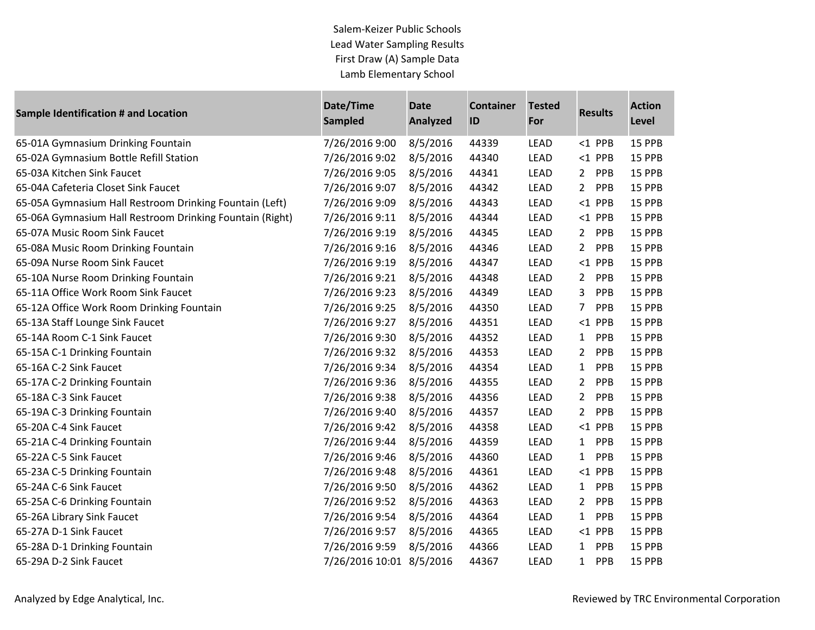Salem-Keizer Public Schools Lead Water Sampling Results First Draw (A) Sample Data Lamb Elementary School

| <b>Sample Identification # and Location</b>              | Date/Time<br><b>Sampled</b> | <b>Date</b><br><b>Analyzed</b> | <b>Container</b><br>ID | <b>Tested</b><br>For | <b>Results</b>        | <b>Action</b><br>Level |
|----------------------------------------------------------|-----------------------------|--------------------------------|------------------------|----------------------|-----------------------|------------------------|
| 65-01A Gymnasium Drinking Fountain                       | 7/26/2016 9:00              | 8/5/2016                       | 44339                  | <b>LEAD</b>          | $<$ 1 PPB             | 15 PPB                 |
| 65-02A Gymnasium Bottle Refill Station                   | 7/26/2016 9:02              | 8/5/2016                       | 44340                  | LEAD                 | $<$ 1 PPB             | 15 PPB                 |
| 65-03A Kitchen Sink Faucet                               | 7/26/2016 9:05              | 8/5/2016                       | 44341                  | LEAD                 | $2^{\circ}$<br>PPB    | 15 PPB                 |
| 65-04A Cafeteria Closet Sink Faucet                      | 7/26/2016 9:07              | 8/5/2016                       | 44342                  | <b>LEAD</b>          | $\overline{2}$<br>PPB | 15 PPB                 |
| 65-05A Gymnasium Hall Restroom Drinking Fountain (Left)  | 7/26/2016 9:09              | 8/5/2016                       | 44343                  | LEAD                 | $<$ 1 PPB             | 15 PPB                 |
| 65-06A Gymnasium Hall Restroom Drinking Fountain (Right) | 7/26/2016 9:11              | 8/5/2016                       | 44344                  | LEAD                 | $<$ 1 PPB             | 15 PPB                 |
| 65-07A Music Room Sink Faucet                            | 7/26/2016 9:19              | 8/5/2016                       | 44345                  | LEAD                 | PPB<br>$2^{\circ}$    | 15 PPB                 |
| 65-08A Music Room Drinking Fountain                      | 7/26/2016 9:16              | 8/5/2016                       | 44346                  | LEAD                 | $\overline{2}$<br>PPB | 15 PPB                 |
| 65-09A Nurse Room Sink Faucet                            | 7/26/2016 9:19              | 8/5/2016                       | 44347                  | LEAD                 | $<$ 1 PPB             | 15 PPB                 |
| 65-10A Nurse Room Drinking Fountain                      | 7/26/2016 9:21              | 8/5/2016                       | 44348                  | LEAD                 | $\overline{2}$<br>PPB | 15 PPB                 |
| 65-11A Office Work Room Sink Faucet                      | 7/26/2016 9:23              | 8/5/2016                       | 44349                  | LEAD                 | 3<br>PPB              | 15 PPB                 |
| 65-12A Office Work Room Drinking Fountain                | 7/26/2016 9:25              | 8/5/2016                       | 44350                  | LEAD                 | 7<br>PPB              | 15 PPB                 |
| 65-13A Staff Lounge Sink Faucet                          | 7/26/2016 9:27              | 8/5/2016                       | 44351                  | LEAD                 | $<$ 1 PPB             | 15 PPB                 |
| 65-14A Room C-1 Sink Faucet                              | 7/26/2016 9:30              | 8/5/2016                       | 44352                  | LEAD                 | PPB<br>$\mathbf{1}$   | 15 PPB                 |
| 65-15A C-1 Drinking Fountain                             | 7/26/2016 9:32              | 8/5/2016                       | 44353                  | LEAD                 | $\overline{2}$<br>PPB | 15 PPB                 |
| 65-16A C-2 Sink Faucet                                   | 7/26/2016 9:34              | 8/5/2016                       | 44354                  | LEAD                 | $\mathbf{1}$<br>PPB   | 15 PPB                 |
| 65-17A C-2 Drinking Fountain                             | 7/26/2016 9:36              | 8/5/2016                       | 44355                  | LEAD                 | $\overline{2}$<br>PPB | 15 PPB                 |
| 65-18A C-3 Sink Faucet                                   | 7/26/2016 9:38              | 8/5/2016                       | 44356                  | LEAD                 | PPB<br>$\overline{2}$ | 15 PPB                 |
| 65-19A C-3 Drinking Fountain                             | 7/26/2016 9:40              | 8/5/2016                       | 44357                  | LEAD                 | $\overline{2}$<br>PPB | 15 PPB                 |
| 65-20A C-4 Sink Faucet                                   | 7/26/2016 9:42              | 8/5/2016                       | 44358                  | LEAD                 | $<$ 1 PPB             | 15 PPB                 |
| 65-21A C-4 Drinking Fountain                             | 7/26/2016 9:44              | 8/5/2016                       | 44359                  | LEAD                 | PPB<br>$\mathbf{1}$   | 15 PPB                 |
| 65-22A C-5 Sink Faucet                                   | 7/26/2016 9:46              | 8/5/2016                       | 44360                  | LEAD                 | PPB<br>$\mathbf{1}$   | 15 PPB                 |
| 65-23A C-5 Drinking Fountain                             | 7/26/2016 9:48              | 8/5/2016                       | 44361                  | <b>LEAD</b>          | $<$ 1 PPB             | 15 PPB                 |
| 65-24A C-6 Sink Faucet                                   | 7/26/2016 9:50              | 8/5/2016                       | 44362                  | LEAD                 | $\mathbf{1}$<br>PPB   | 15 PPB                 |
| 65-25A C-6 Drinking Fountain                             | 7/26/2016 9:52              | 8/5/2016                       | 44363                  | LEAD                 | $\overline{2}$<br>PPB | 15 PPB                 |
| 65-26A Library Sink Faucet                               | 7/26/2016 9:54              | 8/5/2016                       | 44364                  | <b>LEAD</b>          | $\mathbf{1}$<br>PPB   | 15 PPB                 |
| 65-27A D-1 Sink Faucet                                   | 7/26/2016 9:57              | 8/5/2016                       | 44365                  | LEAD                 | $<$ 1 PPB             | 15 PPB                 |
| 65-28A D-1 Drinking Fountain                             | 7/26/2016 9:59              | 8/5/2016                       | 44366                  | LEAD                 | PPB<br>$\mathbf{1}$   | 15 PPB                 |
| 65-29A D-2 Sink Faucet                                   | 7/26/2016 10:01 8/5/2016    |                                | 44367                  | <b>LEAD</b>          | PPB<br>$\mathbf{1}$   | 15 PPB                 |